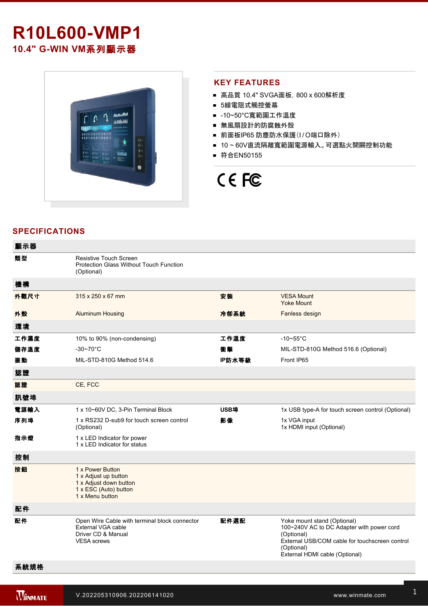# **R10L600-VMP1** 10.4" G-WIN VM系列顯示器



#### **KEY FEATURES**

- 高品質 10.4" SVGA面板, 800 x 600解析度
- 5線電阻式觸控螢幕
- -10~50°C寬範圍工作溫度
- 無風扇設計的防腐蝕外殼
- 前面板IP65 防塵防水保護(I/O端口除外)
- 10~60V直流隔離寬範圍電源輸入。可選點火開關控制功能
- 符合EN50155

# CE FC

# **SPECIFICATIONS**

| 顯示器  |                                                                                                                 |        |                                                                                                                                                                                          |
|------|-----------------------------------------------------------------------------------------------------------------|--------|------------------------------------------------------------------------------------------------------------------------------------------------------------------------------------------|
| 類型   | Resistive Touch Screen<br>Protection Glass Without Touch Function<br>(Optional)                                 |        |                                                                                                                                                                                          |
| 機構   |                                                                                                                 |        |                                                                                                                                                                                          |
| 外觀尺寸 | 315 x 250 x 67 mm                                                                                               | 安装     | <b>VESA Mount</b><br><b>Yoke Mount</b>                                                                                                                                                   |
| 外殼   | <b>Aluminum Housing</b>                                                                                         | 冷卻系統   | Fanless design                                                                                                                                                                           |
| 環境   |                                                                                                                 |        |                                                                                                                                                                                          |
| 工作濕度 | 10% to 90% (non-condensing)                                                                                     | 工作溫度   | $-10-55$ °C                                                                                                                                                                              |
| 儲存溫度 | $-30 - 70^{\circ}$ C                                                                                            | 衝擊     | MIL-STD-810G Method 516.6 (Optional)                                                                                                                                                     |
| 振動   | MIL-STD-810G Method 514.6                                                                                       | IP防水等級 | Front IP65                                                                                                                                                                               |
| 認證   |                                                                                                                 |        |                                                                                                                                                                                          |
| 認證   | CE, FCC                                                                                                         |        |                                                                                                                                                                                          |
| 訊號埠  |                                                                                                                 |        |                                                                                                                                                                                          |
| 電源輸入 | 1 x 10~60V DC, 3-Pin Terminal Block                                                                             | USB埠   | 1x USB type-A for touch screen control (Optional)                                                                                                                                        |
| 序列埠  | 1 x RS232 D-sub9 for touch screen control<br>(Optional)                                                         | 影像     | 1x VGA input<br>1x HDMI input (Optional)                                                                                                                                                 |
| 指示燈  | 1 x LED Indicator for power<br>1 x LED Indicator for status                                                     |        |                                                                                                                                                                                          |
| 控制   |                                                                                                                 |        |                                                                                                                                                                                          |
| 按鈕   | 1 x Power Button<br>1 x Adjust up button<br>1 x Adjust down button<br>1 x ESC (Auto) button<br>1 x Menu button  |        |                                                                                                                                                                                          |
| 配件   |                                                                                                                 |        |                                                                                                                                                                                          |
| 配件   | Open Wire Cable with terminal block connector<br>External VGA cable<br>Driver CD & Manual<br><b>VESA</b> screws | 配件選配   | Yoke mount stand (Optional)<br>100~240V AC to DC Adapter with power cord<br>(Optional)<br>External USB/COM cable for touchscreen control<br>(Optional)<br>External HDMI cable (Optional) |
| 系統規格 |                                                                                                                 |        |                                                                                                                                                                                          |

**Windows 2007 Programs 2007 Programs 2007**